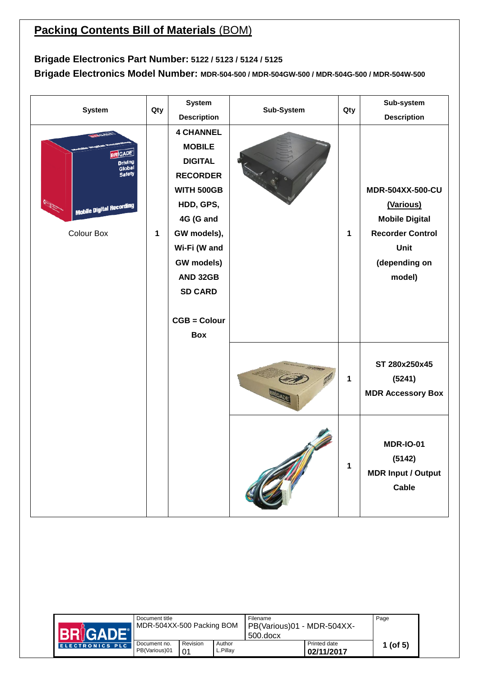## **Packing Contents Bill of Materials (BOM)**

## **Brigade Electronics Part Number: 5122 / 5123 / 5124 / 5125**

**Brigade Electronics Model Number: MDR-504-500 / MDR-504GW-500 / MDR-504G-500 / MDR-504W-500**

| <b>System</b>                                                                                            | Qty | <b>System</b>                                                                                                                                                                                                                         | Sub-System | Qty | Sub-system                                                                                                                  |
|----------------------------------------------------------------------------------------------------------|-----|---------------------------------------------------------------------------------------------------------------------------------------------------------------------------------------------------------------------------------------|------------|-----|-----------------------------------------------------------------------------------------------------------------------------|
|                                                                                                          |     | <b>Description</b>                                                                                                                                                                                                                    |            |     | <b>Description</b>                                                                                                          |
| <b>BRIGADE</b><br>Driving<br>Global<br>Safety<br>Office<br><b>Mobile Digital Recording</b><br>Colour Box | 1   | <b>4 CHANNEL</b><br><b>MOBILE</b><br><b>DIGITAL</b><br><b>RECORDER</b><br><b>WITH 500GB</b><br>HDD, GPS,<br>4G (G and<br>GW models),<br>Wi-Fi (W and<br>GW models)<br>AND 32GB<br><b>SD CARD</b><br><b>CGB = Colour</b><br><b>Box</b> |            | 1   | <b>MDR-504XX-500-CU</b><br>(Various)<br><b>Mobile Digital</b><br><b>Recorder Control</b><br>Unit<br>(depending on<br>model) |
|                                                                                                          |     |                                                                                                                                                                                                                                       |            | 1   | ST 280x250x45<br>(5241)<br><b>MDR Accessory Box</b>                                                                         |
|                                                                                                          |     |                                                                                                                                                                                                                                       |            | 1   | <b>MDR-IO-01</b><br>(5142)<br><b>MDR Input / Output</b><br>Cable                                                            |

| <b>BRIGADE1</b>        | Document title<br>MDR-504XX-500 Packing BOM |                |                     | Filename<br>PB(Various)01 - MDR-504XX-<br>$500$ .docx |                            | Page       |
|------------------------|---------------------------------------------|----------------|---------------------|-------------------------------------------------------|----------------------------|------------|
| <b>ELECTRONICS PLC</b> | Document no.<br>PB(Various)01               | Revision<br>01 | Author<br>Pillay ــ |                                                       | Printed date<br>02/11/2017 | 1 (of $5)$ |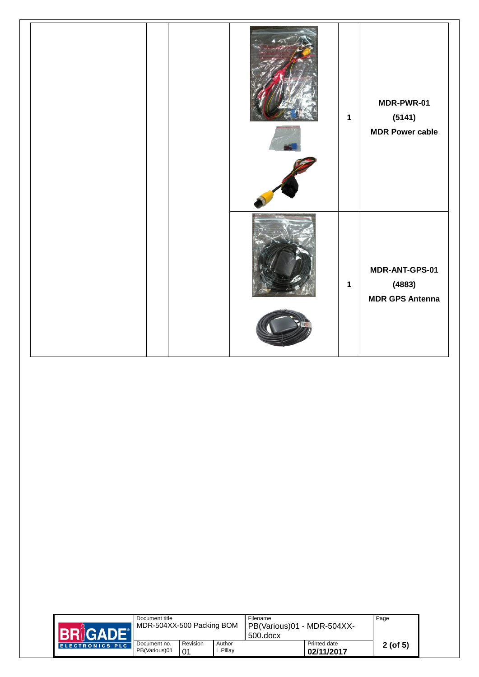

| <b>BRIGADE®</b> | Document title<br>MDR-504XX-500 Packing BOM |                |                    | Filename<br>PB(Various)01 - MDR-504XX-<br>$500$ .docx |                            | Page          |
|-----------------|---------------------------------------------|----------------|--------------------|-------------------------------------------------------|----------------------------|---------------|
| ELECTRONICS PLC | Document no.<br>PB(Various)01               | Revision<br>01 | Author<br>L.Pillay |                                                       | Printed date<br>02/11/2017 | $2($ of 5 $)$ |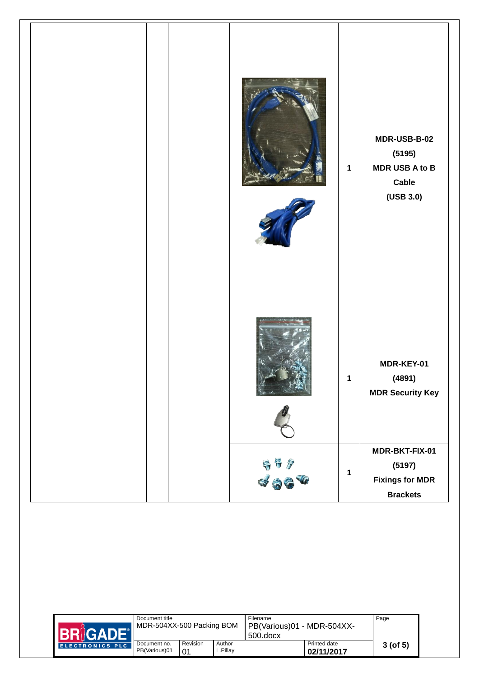|  |                                                                                                                                                                                                                                                                                                                                                                                                                   | $\mathbf 1$ | MDR-USB-B-02<br>(5195)<br><b>MDR USB A to B</b><br>Cable<br>$($ USB 3.0 $)$ |
|--|-------------------------------------------------------------------------------------------------------------------------------------------------------------------------------------------------------------------------------------------------------------------------------------------------------------------------------------------------------------------------------------------------------------------|-------------|-----------------------------------------------------------------------------|
|  |                                                                                                                                                                                                                                                                                                                                                                                                                   | 1           | MDR-KEY-01<br>(4891)<br><b>MDR Security Key</b>                             |
|  | $\begin{array}{ll} \frac{1}{2} & \frac{1}{2} & \frac{1}{2} \\ \frac{1}{2} & \frac{1}{2} & \frac{1}{2} \\ \frac{1}{2} & \frac{1}{2} & \frac{1}{2} \\ \frac{1}{2} & \frac{1}{2} & \frac{1}{2} \\ \frac{1}{2} & \frac{1}{2} & \frac{1}{2} \\ \frac{1}{2} & \frac{1}{2} & \frac{1}{2} \\ \frac{1}{2} & \frac{1}{2} & \frac{1}{2} \\ \frac{1}{2} & \frac{1}{2} & \frac{1}{2} \\ \frac{1}{2} & \frac{1}{2} & \frac{1}{$ | $\mathbf 1$ | MDR-BKT-FIX-01<br>(5197)<br><b>Fixings for MDR</b><br><b>Brackets</b>       |

| <b>BRIGADE</b>  | Document title<br>MDR-504XX-500 Packing BOM |                |                     | Filename<br>PB(Various)01 - MDR-504XX-<br>$500$ .docx |                            | Page       |  |
|-----------------|---------------------------------------------|----------------|---------------------|-------------------------------------------------------|----------------------------|------------|--|
| ELECTRONICS PLC | Document no.<br>PB(Various)01               | Revision<br>01 | Author<br>Pillay ــ |                                                       | Printed date<br>02/11/2017 | $3($ of 5) |  |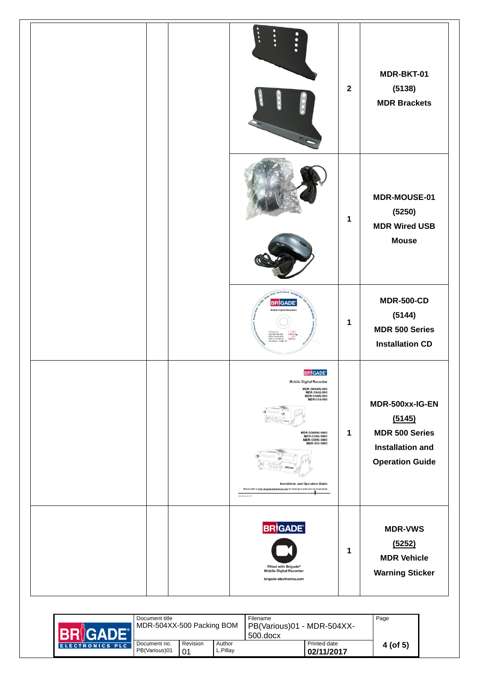|  | $\ddot{\phantom{a}}$<br>п                                                                                                                                                                                                                                                                                                                            | $\overline{\mathbf{2}}$ | MDR-BKT-01<br>(5138)<br><b>MDR Brackets</b>                                                             |
|--|------------------------------------------------------------------------------------------------------------------------------------------------------------------------------------------------------------------------------------------------------------------------------------------------------------------------------------------------------|-------------------------|---------------------------------------------------------------------------------------------------------|
|  |                                                                                                                                                                                                                                                                                                                                                      |                         |                                                                                                         |
|  |                                                                                                                                                                                                                                                                                                                                                      | 1                       | MDR-MOUSE-01<br>(5250)<br><b>MDR Wired USB</b><br><b>Mouse</b>                                          |
|  | <b>BRIGAD</b>                                                                                                                                                                                                                                                                                                                                        | 1                       | <b>MDR-500-CD</b><br>(5144)<br><b>MDR 500 Series</b><br><b>Installation CD</b>                          |
|  | <b>BRIGADE</b><br><b>Mobile Digital Recorder</b><br>MDR-504GW-500<br>MDR-504G-500<br>MDR-504W-500<br>MDR-504-500<br>MDR-508GW-1000<br>MDR-508G-1000<br>MDR-508W-1000<br>MDR-508-1000<br><b>Installation and Operation Guide</b><br>Please refer to http://brigade-electronics.com/ for most up-to-date data on all products<br>Instalator-Duits 5745 | 1                       | MDR-500xx-IG-EN<br>(5145)<br><b>MDR 500 Series</b><br><b>Installation and</b><br><b>Operation Guide</b> |
|  | <b>BRIGADE</b><br>Fitted with Brigade®<br><b>Mobile Digital Recorder</b><br>brigade-electronics.com                                                                                                                                                                                                                                                  | 1                       | <b>MDR-VWS</b><br>(5252)<br><b>MDR Vehicle</b><br><b>Warning Sticker</b>                                |

|                        | Document title<br>MDR-504XX-500 Packing BOM |                |                    | Filename<br>PB(Various)01 - MDR-504XX-<br>$500$ .docx |                            | Page     |
|------------------------|---------------------------------------------|----------------|--------------------|-------------------------------------------------------|----------------------------|----------|
| <b>ELECTRONICS PLC</b> | Document no.<br>PB(Various)01               | Revision<br>01 | Author<br>∟.Pillav |                                                       | Printed date<br>02/11/2017 | 4 (of 5) |